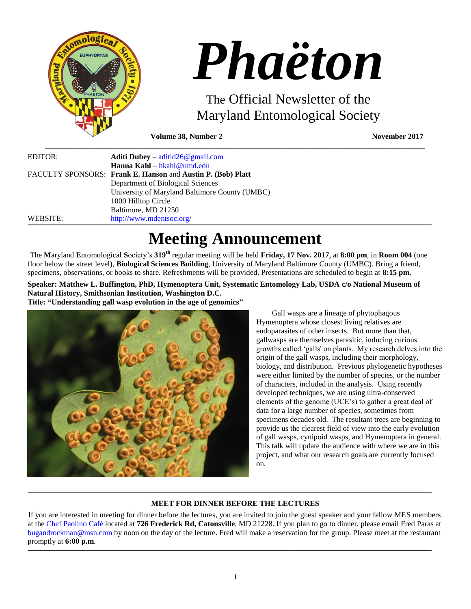

# *Phaëton*

The Official Newsletter of the Maryland Entomological Society

**Volume 38, Number 2 November 2017** 

| EDITOR:  | <b>Aditi Dubey</b> – $\text{aditid26@gmail.com}$            |
|----------|-------------------------------------------------------------|
|          | <b>Hanna Kahl</b> – hkahl@umd.edu                           |
|          | FACULTY SPONSORS: Frank E. Hanson and Austin P. (Bob) Platt |
|          | Department of Biological Sciences                           |
|          | University of Maryland Baltimore County (UMBC)              |
|          | 1000 Hilltop Circle                                         |
|          | Baltimore, MD 21250                                         |
| WEBSITE: | http://www.mdentsoc.org/                                    |

# **Meeting Announcement**

\_\_\_\_\_\_\_\_\_\_\_\_\_\_\_\_\_\_\_\_\_\_\_\_\_\_\_\_\_\_\_\_\_\_\_\_\_\_\_\_\_\_\_\_\_\_\_\_\_\_\_\_\_\_\_\_\_\_\_\_\_\_\_\_\_\_\_\_\_\_\_\_\_\_\_\_\_\_\_\_\_\_\_\_\_\_\_\_\_\_\_\_\_\_\_\_\_\_\_

The **M**aryland **E**ntomological **S**ociety's **319th** regular meeting will be held **Friday, 17 Nov. 2017**, at **8:00 pm**, in **Room 004** (one floor below the street level), **Biological Sciences Building**, University of Maryland Baltimore County (UMBC). Bring a friend, specimens, observations, or books to share. Refreshments will be provided. Presentations are scheduled to begin at **8:15 pm.**

 $\_$  ,  $\_$  ,  $\_$  ,  $\_$  ,  $\_$  ,  $\_$  ,  $\_$  ,  $\_$  ,  $\_$  ,  $\_$  ,  $\_$  ,  $\_$  ,  $\_$  ,  $\_$  ,  $\_$  ,  $\_$  ,  $\_$  ,  $\_$  ,  $\_$  ,  $\_$  ,  $\_$  ,  $\_$  ,  $\_$  ,  $\_$  ,  $\_$  ,  $\_$  ,  $\_$  ,  $\_$  ,  $\_$  ,  $\_$  ,  $\_$  ,  $\_$  ,  $\_$  ,  $\_$  ,  $\_$  ,  $\_$  ,  $\_$  , **Speaker: Matthew L. Buffington, PhD, Hymenoptera Unit, Systematic Entomology Lab, USDA c/o National Museum of Natural History, Smithsonian Institution, Washington D.C. Title: "Understanding gall wasp evolution in the age of genomics"**



Gall wasps are a lineage of phytophagous Hymenoptera whose closest living relatives are endoparasites of other insects. But more than that, gallwasps are themselves parasitic, inducing curious growths called 'galls' on plants. My research delves into the origin of the gall wasps, including their morphology, biology, and distribution. Previous phylogenetic hypotheses were either limited by the number of species, or the number of characters, included in the analysis. Using recently developed techniques, we are using ultra-conserved elements of the genome (UCE's) to gather a great deal of data for a large number of species, sometimes from specimens decades old. The resultant trees are beginning to provide us the clearest field of view into the early evolution of gall wasps, cynipoid wasps, and Hymenoptera in general. This talk will update the audience with where we are in this project, and what our research goals are currently focused on.

# **MEET FOR DINNER BEFORE THE LECTURES**

,一个人都是一个人的事情,我们就是一个人的事情。""我们,我们就是我们的事情。""我们,我们就是我们的事情,我们就是我们的事情。""我们的事情,我们就是我们的事

If you are interested in meeting for dinner before the lectures, you are invited to join the guest speaker and your fellow MES members at the [Chef Paolino Café](https://www.google.com/maps/place/Chef+Paolino+Cafe/@39.2727924,-76.7320191,15z/data=!4m5!3m4!1s0x0:0x5b7140dd2ad4f543!8m2!3d39.2727924!4d-76.7320191) located at **726 Frederick Rd, Catonsville**, MD 21228. If you plan to go to dinner, please email Fred Paras at [bugandrockman@msn.com](file:///C:/Users/Hanna/Downloads/bugandrockman@msn.com) by noon on the day of the lecture. Fred will make a reservation for the group. Please meet at the restaurant promptly at **6:00 p.m**.

**\_\_\_\_\_\_\_\_\_\_\_\_\_\_\_\_\_\_\_\_\_\_\_\_\_\_\_\_\_\_\_\_\_\_\_\_\_\_\_\_\_\_\_\_\_\_\_\_\_\_\_\_\_\_\_\_\_\_\_\_\_\_\_\_\_\_\_\_\_\_\_\_\_\_\_\_\_\_\_\_\_\_\_\_\_\_\_\_\_\_\_\_\_\_\_\_\_\_\_\_\_\_\_\_\_\_\_\_\_\_\_\_\_\_\_\_\_\_\_\_\_\_\_\_\_\_\_\_\_\_\_\_\_\_\_\_\_\_\_\_\_\_\_\_\_\_\_\_\_\_\_\_\_\_\_\_\_\_\_\_\_\_\_\_\_\_\_\_\_\_\_\_\_\_\_\_\_\_\_\_\_\_\_\_\_\_\_\_\_\_\_\_\_\_\_\_\_\_\_\_\_\_\_\_\_\_\_\_\_\_\_\_\_\_\_\_\_\_\_\_\_\_\_\_\_\_\_\_\_\_\_\_\_\_\_\_\_\_\_\_\_\_\_\_\_\_\_\_\_\_\_\_\_\_\_\_\_\_\_\_\_\_\_\_\_\_\_\_\_\_\_\_\_\_\_\_\_\_\_\_\_\_\_\_\_\_\_\_\_\_\_\_\_\_\_\_\_\_\_\_\_\_\_\_\_\_\_\_\_\_\_\_\_\_\_\_\_\_\_\_\_\_\_\_\_\_\_\_\_\_\_\_\_\_\_\_\_\_\_\_\_\_\_\_\_\_\_\_\_\_**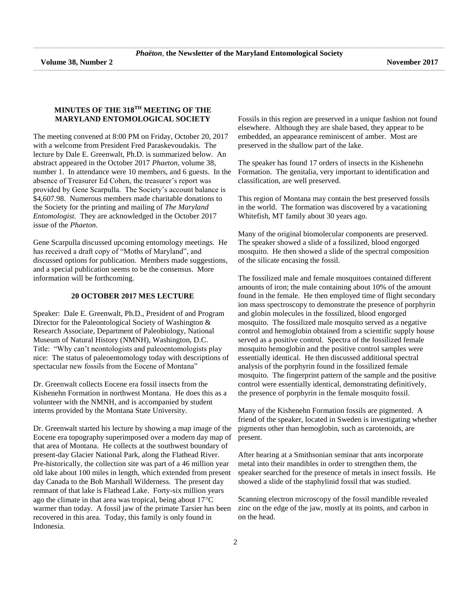\_\_\_\_\_\_\_\_\_\_\_\_\_\_\_\_\_\_\_\_\_\_\_\_\_\_\_\_\_\_\_\_\_\_\_\_\_\_\_\_\_\_\_\_\_\_\_\_\_\_\_\_\_\_\_\_\_\_\_\_\_\_\_\_\_\_\_\_\_\_\_\_\_\_\_\_\_\_\_\_\_\_\_\_\_\_\_\_\_\_\_\_\_\_\_\_\_\_\_\_\_\_\_\_\_\_\_\_\_\_\_\_\_\_\_\_\_\_\_\_\_\_\_\_\_\_\_\_\_\_\_\_\_\_\_\_\_\_\_\_\_\_\_\_\_\_\_\_\_\_\_\_\_\_\_\_\_\_\_\_\_\_\_\_\_\_\_\_\_\_\_\_\_\_\_\_\_\_\_\_\_\_\_\_\_\_\_\_\_\_\_\_\_\_\_\_\_\_\_\_\_\_\_\_\_\_\_\_\_\_\_\_\_\_

#### **MINUTES OF THE 318TH MEETING OF THE MARYLAND ENTOMOLOGICAL SOCIETY**

The meeting convened at 8:00 PM on Friday, October 20, 2017 with a welcome from President Fred Paraskevoudakis. The lecture by Dale E. Greenwalt, Ph.D. is summarized below. An abstract appeared in the October 2017 *Phaeton*, volume 38, number 1. In attendance were 10 members, and 6 guests. In the absence of Treasurer Ed Cohen, the treasurer's report was provided by Gene Scarpulla. The Society's account balance is \$4,607.98. Numerous members made charitable donations to the Society for the printing and mailing of *The Maryland Entomologist.* They are acknowledged in the October 2017 issue of the *Phaeton*.

Gene Scarpulla discussed upcoming entomology meetings. He has received a draft copy of "Moths of Maryland", and discussed options for publication. Members made suggestions, and a special publication seems to be the consensus. More information will be forthcoming.

#### **20 OCTOBER 2017 MES LECTURE**

Speaker: Dale E. Greenwalt, Ph.D., President of and Program Director for the Paleontological Society of Washington & Research Associate, Department of Paleobiology, National Museum of Natural History (NMNH), Washington, D.C. Title: "Why can't neontologists and paleoentomologists play nice: The status of paleoentomology today with descriptions of spectacular new fossils from the Eocene of Montana"

Dr. Greenwalt collects Eocene era fossil insects from the Kishenehn Formation in northwest Montana. He does this as a volunteer with the NMNH, and is accompanied by student interns provided by the Montana State University.

Dr. Greenwalt started his lecture by showing a map image of the Eocene era topography superimposed over a modern day map of that area of Montana. He collects at the southwest boundary of present-day Glacier National Park, along the Flathead River. Pre-historically, the collection site was part of a 46 million year old lake about 100 miles in length, which extended from present day Canada to the Bob Marshall Wilderness. The present day remnant of that lake is Flathead Lake. Forty-six million years ago the climate in that area was tropical, being about  $17^{\circ}$ C warmer than today. A fossil jaw of the primate Tarsier has been recovered in this area. Today, this family is only found in Indonesia.

Fossils in this region are preserved in a unique fashion not found elsewhere. Although they are shale based, they appear to be embedded, an appearance reminiscent of amber. Most are preserved in the shallow part of the lake.

The speaker has found 17 orders of insects in the Kishenehn Formation. The genitalia, very important to identification and classification, are well preserved.

This region of Montana may contain the best preserved fossils in the world. The formation was discovered by a vacationing Whitefish, MT family about 30 years ago.

Many of the original biomolecular components are preserved. The speaker showed a slide of a fossilized, blood engorged mosquito. He then showed a slide of the spectral composition of the silicate encasing the fossil.

The fossilized male and female mosquitoes contained different amounts of iron; the male containing about 10% of the amount found in the female. He then employed time of flight secondary ion mass spectroscopy to demonstrate the presence of porphyrin and globin molecules in the fossilized, blood engorged mosquito. The fossilized male mosquito served as a negative control and hemoglobin obtained from a scientific supply house served as a positive control. Spectra of the fossilized female mosquito hemoglobin and the positive control samples were essentially identical. He then discussed additional spectral analysis of the porphyrin found in the fossilized female mosquito. The fingerprint pattern of the sample and the positive control were essentially identical, demonstrating definitively, the presence of porphyrin in the female mosquito fossil.

Many of the Kishenehn Formation fossils are pigmented. A friend of the speaker, located in Sweden is investigating whether pigments other than hemoglobin, such as carotenoids, are present.

After hearing at a Smithsonian seminar that ants incorporate metal into their mandibles in order to strengthen them, the speaker searched for the presence of metals in insect fossils. He showed a slide of the staphylinid fossil that was studied.

Scanning electron microscopy of the fossil mandible revealed zinc on the edge of the jaw, mostly at its points, and carbon in on the head.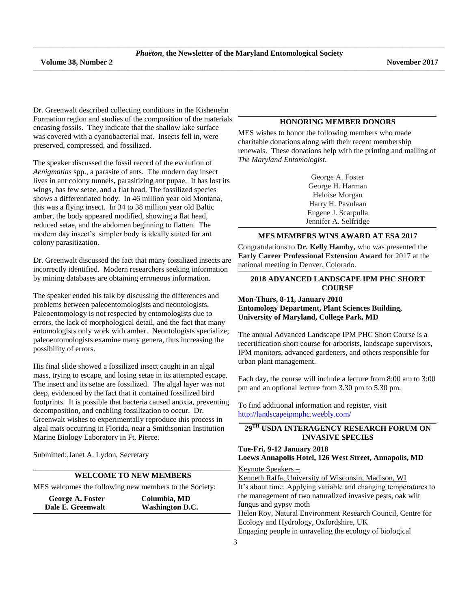Dr. Greenwalt described collecting conditions in the Kishenehn Formation region and studies of the composition of the materials encasing fossils. They indicate that the shallow lake surface was covered with a cyanobacterial mat. Insects fell in, were preserved, compressed, and fossilized.

The speaker discussed the fossil record of the evolution of *Aenigmatias* spp., a parasite of ants. The modern day insect lives in ant colony tunnels, parasitizing ant pupae. It has lost its wings, has few setae, and a flat head. The fossilized species shows a differentiated body. In 46 million year old Montana, this was a flying insect. In 34 to 38 million year old Baltic amber, the body appeared modified, showing a flat head, reduced setae, and the abdomen beginning to flatten. The modern day insect's simpler body is ideally suited for ant colony parasitization.

Dr. Greenwalt discussed the fact that many fossilized insects are incorrectly identified. Modern researchers seeking information by mining databases are obtaining erroneous information.

The speaker ended his talk by discussing the differences and problems between paleoentomologists and neontologists. Paleoentomology is not respected by entomologists due to errors, the lack of morphological detail, and the fact that many entomologists only work with amber. Neontologists specialize; paleoentomologists examine many genera, thus increasing the possibility of errors.

His final slide showed a fossilized insect caught in an algal mass, trying to escape, and losing setae in its attempted escape. The insect and its setae are fossilized. The algal layer was not deep, evidenced by the fact that it contained fossilized bird footprints. It is possible that bacteria caused anoxia, preventing decomposition, and enabling fossilization to occur. Dr. Greenwalt wishes to experimentally reproduce this process in algal mats occurring in Florida, near a Smithsonian Institution Marine Biology Laboratory in Ft. Pierce.

Submitted:,Janet A. Lydon, Secretary

#### **\_\_\_\_\_\_\_\_\_\_\_\_\_\_\_\_\_\_\_\_\_\_\_\_\_\_\_\_\_\_\_\_\_\_\_\_\_\_\_\_\_\_\_\_\_\_\_\_\_\_\_\_\_\_\_\_\_\_\_\_\_\_\_\_\_\_\_\_\_\_\_\_\_\_\_\_\_\_\_\_\_\_\_\_\_\_\_\_\_\_\_\_\_\_\_\_\_\_\_\_\_\_\_\_\_\_\_\_\_\_\_\_\_\_\_\_\_\_\_\_\_\_\_\_\_\_\_\_\_\_\_\_\_\_\_\_\_\_\_\_\_\_\_\_\_\_\_\_\_\_\_\_\_\_\_\_\_\_\_\_\_\_\_\_\_\_\_\_\_\_\_ WELCOME TO NEW MEMBERS**

MES welcomes the following new members to the Society:

| Washington D.C.<br>Dale E. Greenwalt | Columbia, MD<br>George A. Foster |  |
|--------------------------------------|----------------------------------|--|
|                                      |                                  |  |

#### **\_\_\_\_\_\_\_\_\_\_\_\_\_\_\_\_\_\_\_\_\_\_\_\_\_\_\_\_\_\_\_\_\_\_\_\_\_\_\_\_\_\_\_\_\_\_\_\_\_\_\_\_\_\_\_\_\_\_\_\_\_\_\_\_\_\_\_\_\_\_\_\_\_\_\_\_\_\_\_\_\_\_\_\_\_\_\_\_\_\_\_\_\_\_\_\_\_\_\_\_\_\_\_\_\_\_\_\_\_\_\_\_\_\_\_\_\_\_\_\_\_\_\_\_\_\_\_\_\_\_\_\_\_\_\_\_\_\_\_\_\_\_\_\_\_\_\_\_\_\_\_\_\_\_\_\_\_\_\_\_\_\_\_\_\_\_\_\_\_\_\_\_ HONORING MEMBER DONORS**

MES wishes to honor the following members who made charitable donations along with their recent membership renewals. These donations help with the printing and mailing of *The Maryland Entomologist*.

> George A. Foster George H. Harman Heloise Morgan Harry H. Pavulaan Eugene J. Scarpulla Jennifer A. Selfridge

#### **\_\_\_\_\_\_\_\_\_\_\_\_\_\_\_\_\_\_\_\_\_\_\_\_\_\_\_\_\_\_\_\_\_\_\_\_\_\_\_\_\_\_\_\_\_\_\_\_\_\_\_\_\_\_\_\_\_\_\_\_\_\_\_\_\_\_\_\_\_\_\_\_\_\_\_\_\_\_\_\_\_\_\_\_\_\_\_\_\_\_\_\_\_\_\_\_\_\_\_\_\_\_\_\_\_\_\_\_\_\_\_\_\_\_\_\_\_\_\_\_\_\_\_\_\_\_\_\_\_\_\_\_\_\_\_\_\_\_\_\_\_\_\_\_\_\_\_\_\_\_\_\_\_\_\_\_\_\_\_\_\_\_\_\_\_\_\_\_\_\_\_\_ MES MEMBERS WINS AWARD AT ESA 2017**

Congratulations to **Dr. Kelly Hamby,** who was presented the **Early Career Professional Extension Award** for 2017 at the national meeting in Denver, Colorado. **\_\_\_\_\_\_\_\_\_\_\_\_\_\_\_\_\_\_\_\_\_\_\_\_\_\_\_\_\_\_\_\_\_\_\_\_\_\_\_\_\_\_\_\_\_\_\_\_\_\_\_\_\_\_\_\_\_\_\_\_\_\_\_\_\_\_\_\_\_\_\_\_\_\_\_\_\_\_\_\_\_\_\_\_\_\_\_\_\_\_\_\_\_\_\_\_\_\_\_\_\_\_\_\_\_\_\_\_\_\_\_\_\_\_\_\_\_\_\_\_\_\_\_\_\_\_\_\_\_\_\_\_\_\_\_\_\_\_\_\_\_\_\_\_\_\_\_\_\_\_\_\_\_\_\_\_\_\_\_\_\_\_\_\_\_\_\_\_**

#### **2018 ADVANCED LANDSCAPE IPM PHC SHORT COURSE**

#### **Mon-Thurs, 8-11, January 2018 Entomology Department, Plant Sciences Building, University of Maryland, College Park, MD**

The annual Advanced Landscape IPM PHC Short Course is a recertification short course for arborists, landscape supervisors, IPM monitors, advanced gardeners, and others responsible for urban plant management.

Each day, the course will include a lecture from 8:00 am to 3:00 pm and an optional lecture from 3.30 pm to 5.30 pm.

To find additional information and register, visit <http://landscapeipmphc.weebly.com/>

### 29TH USDA INTERAGENCY RESEARCH FORUM ON **INVASIVE SPECIES**

#### **Tue-Fri, 9-12 January 2018 Loews Annapolis Hotel, 126 West Street, Annapolis, MD**

Keynote Speakers –

Kenneth Raffa, University of Wisconsin, Madison, WI It's about time: Applying variable and changing temperatures to the management of two naturalized invasive pests, oak wilt fungus and gypsy moth Helen Roy, Natural Environment Research Council, Centre for Ecology and Hydrology, Oxfordshire, UK Engaging people in unraveling the ecology of biological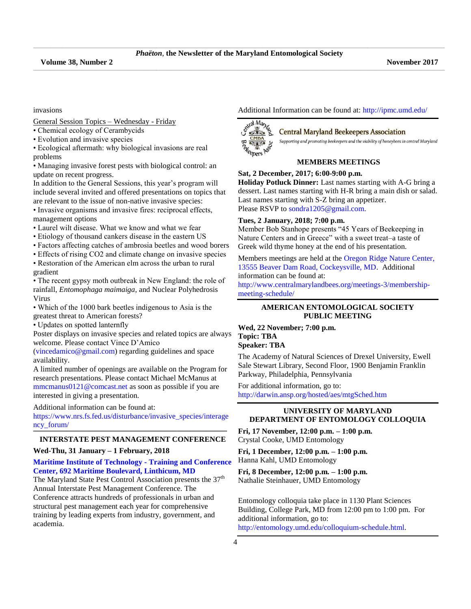\_\_\_\_\_\_\_\_\_\_\_\_\_\_\_\_\_\_\_\_\_\_\_\_\_\_\_\_\_\_\_\_\_\_\_\_\_\_\_\_\_\_\_\_\_\_\_\_\_\_\_\_\_\_\_\_\_\_\_\_\_\_\_\_\_\_\_\_\_\_\_\_\_\_\_\_\_\_\_\_\_\_\_\_\_\_\_\_\_\_\_\_\_\_\_\_\_\_\_\_\_\_\_\_\_\_\_\_\_\_\_\_\_\_\_\_\_\_\_\_\_\_\_\_\_\_\_\_\_\_\_\_\_\_\_\_\_\_\_\_\_\_\_\_\_\_\_\_\_\_\_\_\_\_\_\_\_\_\_\_\_\_\_\_\_\_\_\_\_\_\_\_\_\_\_\_\_\_\_\_\_\_\_\_\_\_\_\_\_\_\_\_\_\_\_\_\_\_\_\_\_\_\_\_\_\_\_\_\_\_\_\_\_\_

invasions

General Session Topics – Wednesday - Friday

- Chemical ecology of Cerambycids
- Evolution and invasive species
- Ecological aftermath: why biological invasions are real problems

• Managing invasive forest pests with biological control: an update on recent progress.

In addition to the General Sessions, this year's program will include several invited and offered presentations on topics that are relevant to the issue of non-native invasive species:

• Invasive organisms and invasive fires: reciprocal effects, management options

- Laurel wilt disease. What we know and what we fear
- Etiology of thousand cankers disease in the eastern US
- Factors affecting catches of ambrosia beetles and wood borers
- Effects of rising CO2 and climate change on invasive species
- Restoration of the American elm across the urban to rural gradient

• The recent gypsy moth outbreak in New England: the role of rainfall, *Entomophaga maimaiga*, and Nuclear Polyhedrosis Virus

- Which of the 1000 bark beetles indigenous to Asia is the
- greatest threat to American forests?

• Updates on spotted lanternfly

Poster displays on invasive species and related topics are always welcome. Please contact Vince D'Amico

[\(vincedamico@gmail.com\)](file:///C:/Users/Hanna/Downloads/vincedamico@gmail.com) regarding guidelines and space availability.

A limited number of openings are available on the Program for research presentations. Please contact Michael McManus at [mmcmanus0121@comcast.net](file:///C:/Users/Hanna/Downloads/mmcmanus0121@comcast.net) as soon as possible if you are interested in giving a presentation.

Additional information can be found at:

[https://www.nrs.fs.fed.us/disturbance/invasive\\_species/interage](https://www.nrs.fs.fed.us/disturbance/invasive_species/interagency_forum/) [ncy\\_forum/](https://www.nrs.fs.fed.us/disturbance/invasive_species/interagency_forum/) **\_\_\_\_\_\_\_\_\_\_\_\_\_\_\_\_\_\_\_\_\_\_\_\_\_\_\_\_\_\_\_\_\_\_\_\_\_\_\_\_\_\_\_\_\_\_\_\_\_\_\_\_\_\_\_\_\_\_\_\_\_\_\_\_\_\_\_\_\_\_\_\_\_\_\_\_\_\_\_\_\_\_\_\_\_\_\_\_\_\_\_\_\_\_\_\_\_\_\_\_\_\_\_\_\_\_\_\_\_\_\_\_\_\_\_\_\_\_\_\_\_\_\_\_\_\_\_\_\_\_\_\_\_\_\_\_\_\_\_\_\_\_\_\_\_\_\_\_\_\_\_\_\_\_\_\_\_\_\_\_\_\_\_\_\_\_\_\_**

#### **INTERSTATE PEST MANAGEMENT CONFERENCE**

#### **Wed-Thu, 31 January – 1 February, 2018**

#### **[Maritime Institute of Technology -](https://www.google.com/search?q=Maritime+Institute+of+Technology+-+Training+and+Conference+Center%2C+692+Maritime+Boulevard%2C+Linthicum%2C+MD&oq=Maritime+Institute+of+Technology+-+Training+and+Conference+Center%2C+692+Maritime+Boulevard%2C+Linthicum%2C+MD&aqs=chrome..69i57.802j0j4&sourceid=chrome&ie=UTF-8#q=Maritime+Institute+of+Technology+-+Training+and+Conference+Center,+692+Maritime+Boulevard,+Linthicum,+MD&rflfq=1&rlha=0&rllag=39212849,-76671915,17&tbm=lcl&tbs=lf:1,lf_ui:2,lf_pqs:EAE) Training and Conference [Center, 692 Maritime Boulevard, Linthicum, MD](https://www.google.com/search?q=Maritime+Institute+of+Technology+-+Training+and+Conference+Center%2C+692+Maritime+Boulevard%2C+Linthicum%2C+MD&oq=Maritime+Institute+of+Technology+-+Training+and+Conference+Center%2C+692+Maritime+Boulevard%2C+Linthicum%2C+MD&aqs=chrome..69i57.802j0j4&sourceid=chrome&ie=UTF-8#q=Maritime+Institute+of+Technology+-+Training+and+Conference+Center,+692+Maritime+Boulevard,+Linthicum,+MD&rflfq=1&rlha=0&rllag=39212849,-76671915,17&tbm=lcl&tbs=lf:1,lf_ui:2,lf_pqs:EAE)**

The Maryland State Pest Control Association presents the  $37<sup>th</sup>$ Annual Interstate Pest Management Conference. The Conference attracts hundreds of professionals in urban and structural pest management each year for comprehensive training by leading experts from industry, government, and academia.

Additional Information can be found at:<http://ipmc.umd.edu/>



#### **Central Maryland Beekeepers Association**

Supporting and promoting beekeepers and the viability of honeybees in central Maryland

#### **MEMBERS MEETINGS**

**Sat, 2 December, 2017; 6:00-9:00 p.m.** 

**Holiday Potluck Dinner:** Last names starting with A-G bring a dessert. Last names starting with H-R bring a main dish or salad. Last names starting with S-Z bring an appetizer. Please RSVP to [sondra1205@gmail.com.](sondra1205@gmail.com)

#### **Tues, 2 January, 2018; 7:00 p.m.**

Member Bob Stanhope presents "45 Years of Beekeeping in Nature Centers and in Greece" with a sweet treat–a taste of Greek wild thyme honey at the end of his presentation.

Members meetings are held at the [Oregon Ridge Nature Center,](https://www.google.com/maps/place/Oregon+Ridge+Nature+Center/@39.4970222,-76.6868097,15z/data=!4m2!3m1!1s0x0:0x9fbed14b2a0e98dd?sa=X&ved=0ahUKEwjkwILmv6jQAhXs6YMKHVsmDwgQ_BIIdDAK)  [13555 Beaver Dam Road, Cockeysville, MD.](https://www.google.com/maps/place/Oregon+Ridge+Nature+Center/@39.4970222,-76.6868097,15z/data=!4m2!3m1!1s0x0:0x9fbed14b2a0e98dd?sa=X&ved=0ahUKEwjkwILmv6jQAhXs6YMKHVsmDwgQ_BIIdDAK) Additional information can be found at:

[http://www.centralmarylandbees.org/meetings-3/membership](http://www.centralmarylandbees.org/meetings-3/membership-meeting-schedule/)[meeting-schedule/](http://www.centralmarylandbees.org/meetings-3/membership-meeting-schedule/)

#### **AMERICAN ENTOMOLOGICAL SOCIETY PUBLIC MEETING**

**Wed, 22 November; 7:00 p.m. Topic: TBA Speaker: TBA**

The Academy of Natural Sciences of Drexel University, Ewell Sale Stewart Library, Second Floor, 1900 Benjamin Franklin Parkway, Philadelphia, Pennsylvania

For additional information, go to: <http://darwin.ansp.org/hosted/aes/mtgSched.htm>

#### **UNIVERSITY OF MARYLAND DEPARTMENT OF ENTOMOLOGY COLLOQUIA**

**Fri, 17 November, 12:00 p.m. – 1:00 p.m.** Crystal Cooke, UMD Entomology

**Fri, 1 December, 12:00 p.m. – 1:00 p.m.** Hanna Kahl, UMD Entomology

**Fri, 8 December, 12:00 p.m. – 1:00 p.m.** Nathalie Steinhauer, UMD Entomology

Entomology colloquia take place in 1130 Plant Sciences Building, College Park, MD from 12:00 pm to 1:00 pm. For additional information, go to:

[http://entomology.umd.edu/colloquium-schedule.html.](http://entomology.umd.edu/colloquium-schedule.html)